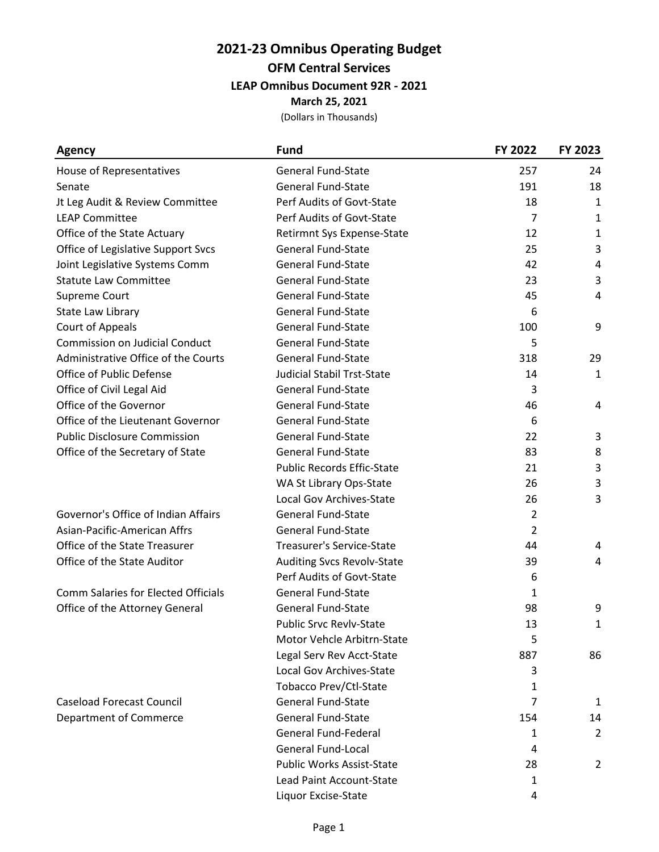### **2021-23 Omnibus Operating Budget OFM Central Services LEAP Omnibus Document 92R - 2021 March 25, 2021**

| <b>Agency</b>                              | <b>Fund</b>                       | FY 2022        | FY 2023      |
|--------------------------------------------|-----------------------------------|----------------|--------------|
| House of Representatives                   | <b>General Fund-State</b>         | 257            | 24           |
| Senate                                     | <b>General Fund-State</b>         | 191            | 18           |
| Jt Leg Audit & Review Committee            | Perf Audits of Govt-State         | 18             | $\mathbf{1}$ |
| <b>LEAP Committee</b>                      | Perf Audits of Govt-State         | $\overline{7}$ | $\mathbf{1}$ |
| Office of the State Actuary                | Retirmnt Sys Expense-State        | 12             | $\mathbf{1}$ |
| Office of Legislative Support Svcs         | <b>General Fund-State</b>         | 25             | 3            |
| Joint Legislative Systems Comm             | <b>General Fund-State</b>         | 42             | 4            |
| <b>Statute Law Committee</b>               | <b>General Fund-State</b>         | 23             | 3            |
| Supreme Court                              | <b>General Fund-State</b>         | 45             | 4            |
| State Law Library                          | <b>General Fund-State</b>         | 6              |              |
| Court of Appeals                           | <b>General Fund-State</b>         | 100            | 9            |
| <b>Commission on Judicial Conduct</b>      | <b>General Fund-State</b>         | 5              |              |
| Administrative Office of the Courts        | <b>General Fund-State</b>         | 318            | 29           |
| Office of Public Defense                   | <b>Judicial Stabil Trst-State</b> | 14             | $\mathbf{1}$ |
| Office of Civil Legal Aid                  | <b>General Fund-State</b>         | 3              |              |
| Office of the Governor                     | <b>General Fund-State</b>         | 46             | 4            |
| Office of the Lieutenant Governor          | <b>General Fund-State</b>         | 6              |              |
| <b>Public Disclosure Commission</b>        | <b>General Fund-State</b>         | 22             | 3            |
| Office of the Secretary of State           | <b>General Fund-State</b>         | 83             | 8            |
|                                            | <b>Public Records Effic-State</b> | 21             | 3            |
|                                            | WA St Library Ops-State           | 26             | 3            |
|                                            | Local Gov Archives-State          | 26             | 3            |
| Governor's Office of Indian Affairs        | General Fund-State                | $\overline{2}$ |              |
| Asian-Pacific-American Affrs               | <b>General Fund-State</b>         | 2              |              |
| Office of the State Treasurer              | <b>Treasurer's Service-State</b>  | 44             | 4            |
| Office of the State Auditor                | <b>Auditing Svcs Revolv-State</b> | 39             | 4            |
|                                            | Perf Audits of Govt-State         | 6              |              |
| <b>Comm Salaries for Elected Officials</b> | <b>General Fund-State</b>         | 1              |              |
| Office of the Attorney General             | <b>General Fund-State</b>         | 98             | 9            |
|                                            | Public Srvc Revlv-State           | 13             | 1            |
|                                            | Motor Vehcle Arbitrn-State        | 5              |              |
|                                            | Legal Serv Rev Acct-State         | 887            | 86           |
|                                            | Local Gov Archives-State          | 3              |              |
|                                            | Tobacco Prev/Ctl-State            | 1              |              |
| <b>Caseload Forecast Council</b>           | <b>General Fund-State</b>         | $\overline{7}$ | 1            |
| <b>Department of Commerce</b>              | <b>General Fund-State</b>         | 154            | 14           |
|                                            | <b>General Fund-Federal</b>       | 1              | 2            |
|                                            | <b>General Fund-Local</b>         | 4              |              |
|                                            | Public Works Assist-State         | 28             | 2            |
|                                            | Lead Paint Account-State          | 1              |              |
|                                            | Liquor Excise-State               | 4              |              |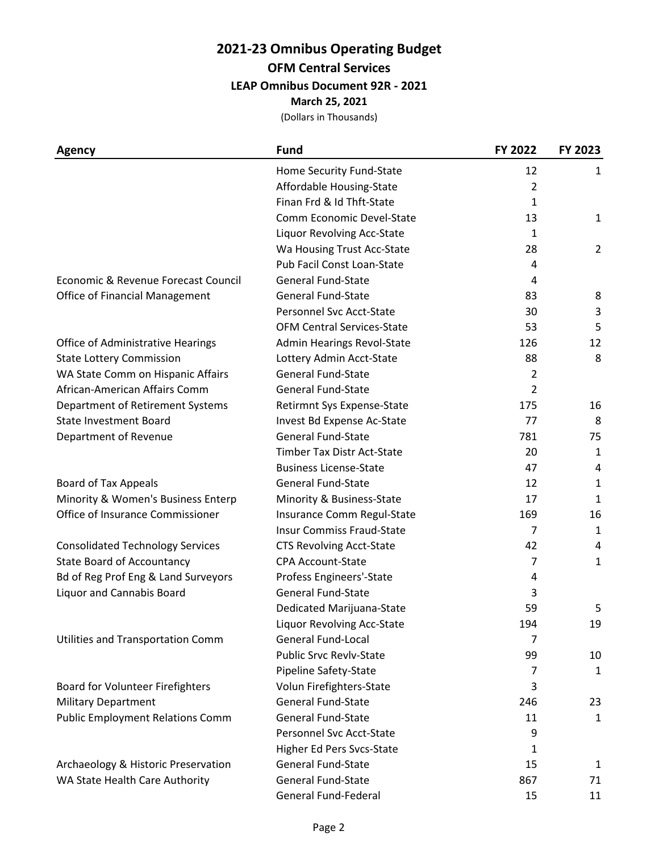### **2021-23 Omnibus Operating Budget OFM Central Services**

**LEAP Omnibus Document 92R - 2021**

**March 25, 2021**

| <b>Agency</b>                           | <b>Fund</b>                       | FY 2022        | FY 2023      |
|-----------------------------------------|-----------------------------------|----------------|--------------|
|                                         | Home Security Fund-State          | 12             | 1            |
|                                         | Affordable Housing-State          | $\overline{2}$ |              |
|                                         | Finan Frd & Id Thft-State         | 1              |              |
|                                         | Comm Economic Devel-State         | 13             | $\mathbf{1}$ |
|                                         | Liquor Revolving Acc-State        | 1              |              |
|                                         | Wa Housing Trust Acc-State        | 28             | 2            |
|                                         | Pub Facil Const Loan-State        | 4              |              |
| Economic & Revenue Forecast Council     | <b>General Fund-State</b>         | 4              |              |
| <b>Office of Financial Management</b>   | <b>General Fund-State</b>         | 83             | 8            |
|                                         | <b>Personnel Svc Acct-State</b>   | 30             | 3            |
|                                         | <b>OFM Central Services-State</b> | 53             | 5            |
| Office of Administrative Hearings       | Admin Hearings Revol-State        | 126            | 12           |
| <b>State Lottery Commission</b>         | Lottery Admin Acct-State          | 88             | 8            |
| WA State Comm on Hispanic Affairs       | <b>General Fund-State</b>         | $\overline{2}$ |              |
| African-American Affairs Comm           | General Fund-State                | $\overline{2}$ |              |
| Department of Retirement Systems        | Retirmnt Sys Expense-State        | 175            | 16           |
| <b>State Investment Board</b>           | Invest Bd Expense Ac-State        | 77             | 8            |
| Department of Revenue                   | <b>General Fund-State</b>         | 781            | 75           |
|                                         | <b>Timber Tax Distr Act-State</b> | 20             | 1            |
|                                         | <b>Business License-State</b>     | 47             | 4            |
| Board of Tax Appeals                    | <b>General Fund-State</b>         | 12             | 1            |
| Minority & Women's Business Enterp      | Minority & Business-State         | 17             | 1            |
| Office of Insurance Commissioner        | Insurance Comm Regul-State        | 169            | 16           |
|                                         | <b>Insur Commiss Fraud-State</b>  | 7              | $\mathbf{1}$ |
| <b>Consolidated Technology Services</b> | <b>CTS Revolving Acct-State</b>   | 42             | 4            |
| <b>State Board of Accountancy</b>       | <b>CPA Account-State</b>          | 7              | $\mathbf{1}$ |
| Bd of Reg Prof Eng & Land Surveyors     | Profess Engineers'-State          | 4              |              |
| <b>Liquor and Cannabis Board</b>        | General Fund-State                | 3              |              |
|                                         | Dedicated Marijuana-State         | 59             | 5            |
|                                         | Liquor Revolving Acc-State        | 194            | 19           |
| Utilities and Transportation Comm       | <b>General Fund-Local</b>         | 7              |              |
|                                         | Public Srvc Revlv-State           | 99             | 10           |
|                                         | Pipeline Safety-State             | 7              | 1            |
| <b>Board for Volunteer Firefighters</b> | Volun Firefighters-State          | 3              |              |
| <b>Military Department</b>              | <b>General Fund-State</b>         | 246            | 23           |
| <b>Public Employment Relations Comm</b> | <b>General Fund-State</b>         | 11             | $\mathbf{1}$ |
|                                         | Personnel Svc Acct-State          | 9              |              |
|                                         | Higher Ed Pers Svcs-State         | 1              |              |
| Archaeology & Historic Preservation     | <b>General Fund-State</b>         | 15             | 1            |
| WA State Health Care Authority          | <b>General Fund-State</b>         | 867            | 71           |
|                                         | General Fund-Federal              | 15             | 11           |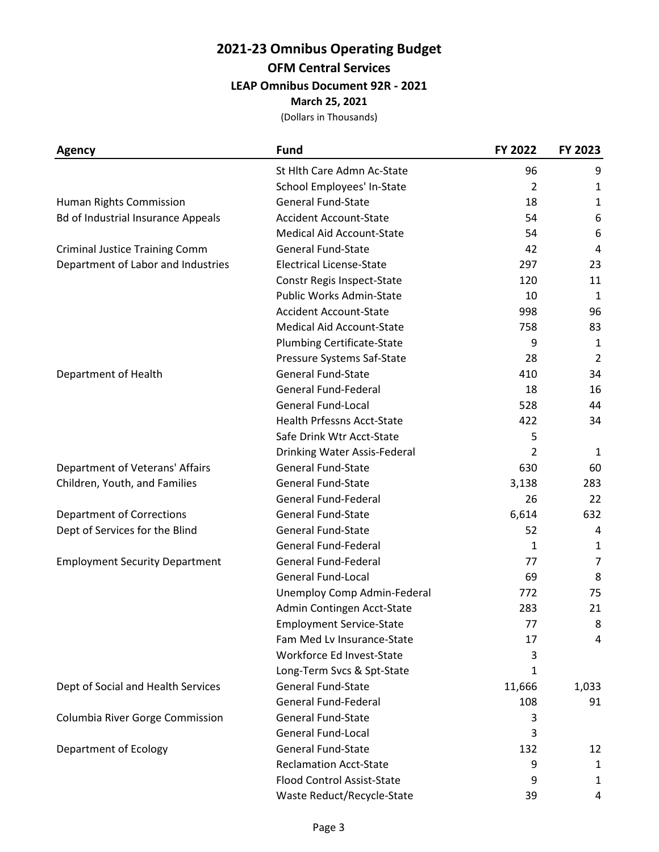# **2021-23 Omnibus Operating Budget OFM Central Services**

**LEAP Omnibus Document 92R - 2021**

**March 25, 2021**

| <b>Agency</b>                             | <b>Fund</b>                       | FY 2022 | FY 2023        |
|-------------------------------------------|-----------------------------------|---------|----------------|
|                                           | St Hith Care Admn Ac-State        | 96      | 9              |
|                                           | School Employees' In-State        | 2       | 1              |
| Human Rights Commission                   | <b>General Fund-State</b>         | 18      | 1              |
| <b>Bd of Industrial Insurance Appeals</b> | <b>Accident Account-State</b>     | 54      | 6              |
|                                           | <b>Medical Aid Account-State</b>  | 54      | 6              |
| <b>Criminal Justice Training Comm</b>     | General Fund-State                | 42      | 4              |
| Department of Labor and Industries        | <b>Electrical License-State</b>   | 297     | 23             |
|                                           | Constr Regis Inspect-State        | 120     | 11             |
|                                           | Public Works Admin-State          | 10      | $\mathbf{1}$   |
|                                           | <b>Accident Account-State</b>     | 998     | 96             |
|                                           | <b>Medical Aid Account-State</b>  | 758     | 83             |
|                                           | <b>Plumbing Certificate-State</b> | 9       | $\mathbf{1}$   |
|                                           | Pressure Systems Saf-State        | 28      | $\overline{2}$ |
| Department of Health                      | <b>General Fund-State</b>         | 410     | 34             |
|                                           | <b>General Fund-Federal</b>       | 18      | 16             |
|                                           | <b>General Fund-Local</b>         | 528     | 44             |
|                                           | <b>Health Prfessns Acct-State</b> | 422     | 34             |
|                                           | Safe Drink Wtr Acct-State         | 5       |                |
|                                           | Drinking Water Assis-Federal      | 2       | 1              |
| Department of Veterans' Affairs           | <b>General Fund-State</b>         | 630     | 60             |
| Children, Youth, and Families             | <b>General Fund-State</b>         | 3,138   | 283            |
|                                           | <b>General Fund-Federal</b>       | 26      | 22             |
| <b>Department of Corrections</b>          | General Fund-State                | 6,614   | 632            |
| Dept of Services for the Blind            | <b>General Fund-State</b>         | 52      | 4              |
|                                           | <b>General Fund-Federal</b>       | 1       | $\mathbf{1}$   |
| <b>Employment Security Department</b>     | <b>General Fund-Federal</b>       | 77      | 7              |
|                                           | <b>General Fund-Local</b>         | 69      | 8              |
|                                           | Unemploy Comp Admin-Federal       | 772     | 75             |
|                                           | Admin Contingen Acct-State        | 283     | 21             |
|                                           | <b>Employment Service-State</b>   | 77      | 8              |
|                                           | Fam Med Lv Insurance-State        | 17      | 4              |
|                                           | Workforce Ed Invest-State         | 3       |                |
|                                           | Long-Term Svcs & Spt-State        | 1       |                |
| Dept of Social and Health Services        | <b>General Fund-State</b>         | 11,666  | 1,033          |
|                                           | <b>General Fund-Federal</b>       | 108     | 91             |
| Columbia River Gorge Commission           | <b>General Fund-State</b>         | 3       |                |
|                                           | <b>General Fund-Local</b>         | 3       |                |
| <b>Department of Ecology</b>              | <b>General Fund-State</b>         | 132     | 12             |
|                                           | <b>Reclamation Acct-State</b>     | 9       | 1              |
|                                           | <b>Flood Control Assist-State</b> | 9       | 1              |
|                                           | Waste Reduct/Recycle-State        | 39      | 4              |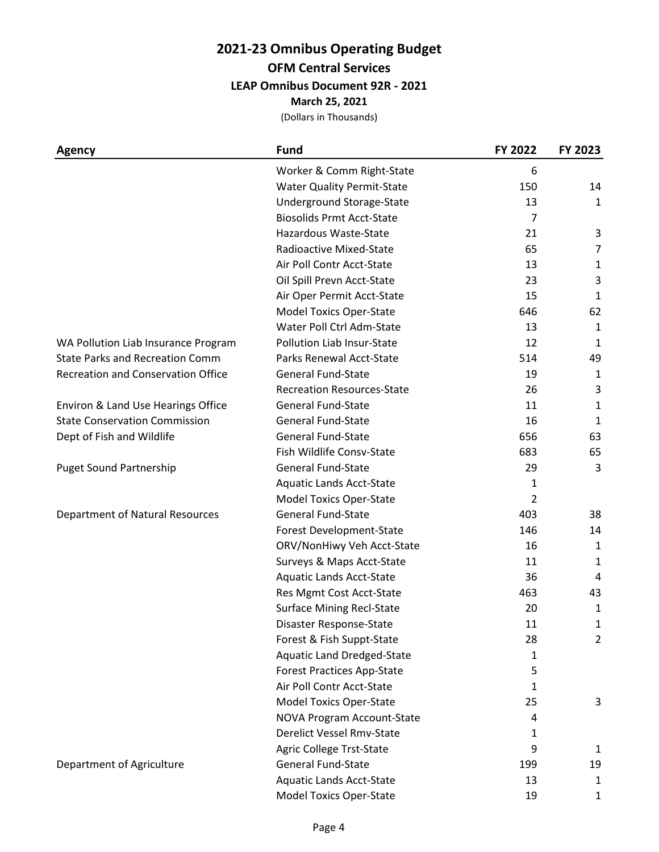## **2021-23 Omnibus Operating Budget**

**OFM Central Services**

**LEAP Omnibus Document 92R - 2021**

**March 25, 2021**

| <b>Agency</b>                             | <b>Fund</b>                       | FY 2022        | FY 2023        |
|-------------------------------------------|-----------------------------------|----------------|----------------|
|                                           | Worker & Comm Right-State         | 6              |                |
|                                           | <b>Water Quality Permit-State</b> | 150            | 14             |
|                                           | Underground Storage-State         | 13             | $\mathbf{1}$   |
|                                           | <b>Biosolids Prmt Acct-State</b>  | 7              |                |
|                                           | Hazardous Waste-State             | 21             | 3              |
|                                           | Radioactive Mixed-State           | 65             | 7              |
|                                           | Air Poll Contr Acct-State         | 13             | 1              |
|                                           | Oil Spill Prevn Acct-State        | 23             | 3              |
|                                           | Air Oper Permit Acct-State        | 15             | $\mathbf{1}$   |
|                                           | <b>Model Toxics Oper-State</b>    | 646            | 62             |
|                                           | Water Poll Ctrl Adm-State         | 13             | $\mathbf{1}$   |
| WA Pollution Liab Insurance Program       | Pollution Liab Insur-State        | 12             | 1              |
| <b>State Parks and Recreation Comm</b>    | Parks Renewal Acct-State          | 514            | 49             |
| <b>Recreation and Conservation Office</b> | <b>General Fund-State</b>         | 19             | 1              |
|                                           | <b>Recreation Resources-State</b> | 26             | 3              |
| Environ & Land Use Hearings Office        | <b>General Fund-State</b>         | 11             | $\mathbf{1}$   |
| <b>State Conservation Commission</b>      | <b>General Fund-State</b>         | 16             | 1              |
| Dept of Fish and Wildlife                 | <b>General Fund-State</b>         | 656            | 63             |
|                                           | Fish Wildlife Consv-State         | 683            | 65             |
| <b>Puget Sound Partnership</b>            | <b>General Fund-State</b>         | 29             | 3              |
|                                           | <b>Aquatic Lands Acct-State</b>   | 1              |                |
|                                           | <b>Model Toxics Oper-State</b>    | $\overline{2}$ |                |
| <b>Department of Natural Resources</b>    | <b>General Fund-State</b>         | 403            | 38             |
|                                           | Forest Development-State          | 146            | 14             |
|                                           | ORV/NonHiwy Veh Acct-State        | 16             | 1              |
|                                           | Surveys & Maps Acct-State         | 11             | 1              |
|                                           | <b>Aquatic Lands Acct-State</b>   | 36             | 4              |
|                                           | Res Mgmt Cost Acct-State          | 463            | 43             |
|                                           | <b>Surface Mining Recl-State</b>  | 20             | 1              |
|                                           | Disaster Response-State           | $11\,$         | $\mathbf{1}$   |
|                                           | Forest & Fish Suppt-State         | 28             | $\overline{2}$ |
|                                           | <b>Aquatic Land Dredged-State</b> | 1              |                |
|                                           | <b>Forest Practices App-State</b> | 5              |                |
|                                           | Air Poll Contr Acct-State         | 1              |                |
|                                           | <b>Model Toxics Oper-State</b>    | 25             | 3              |
|                                           | NOVA Program Account-State        | 4              |                |
|                                           | <b>Derelict Vessel Rmv-State</b>  | 1              |                |
|                                           | Agric College Trst-State          | 9              | 1              |
| Department of Agriculture                 | <b>General Fund-State</b>         | 199            | 19             |
|                                           | <b>Aquatic Lands Acct-State</b>   | 13             | 1              |
|                                           | Model Toxics Oper-State           | 19             | 1              |